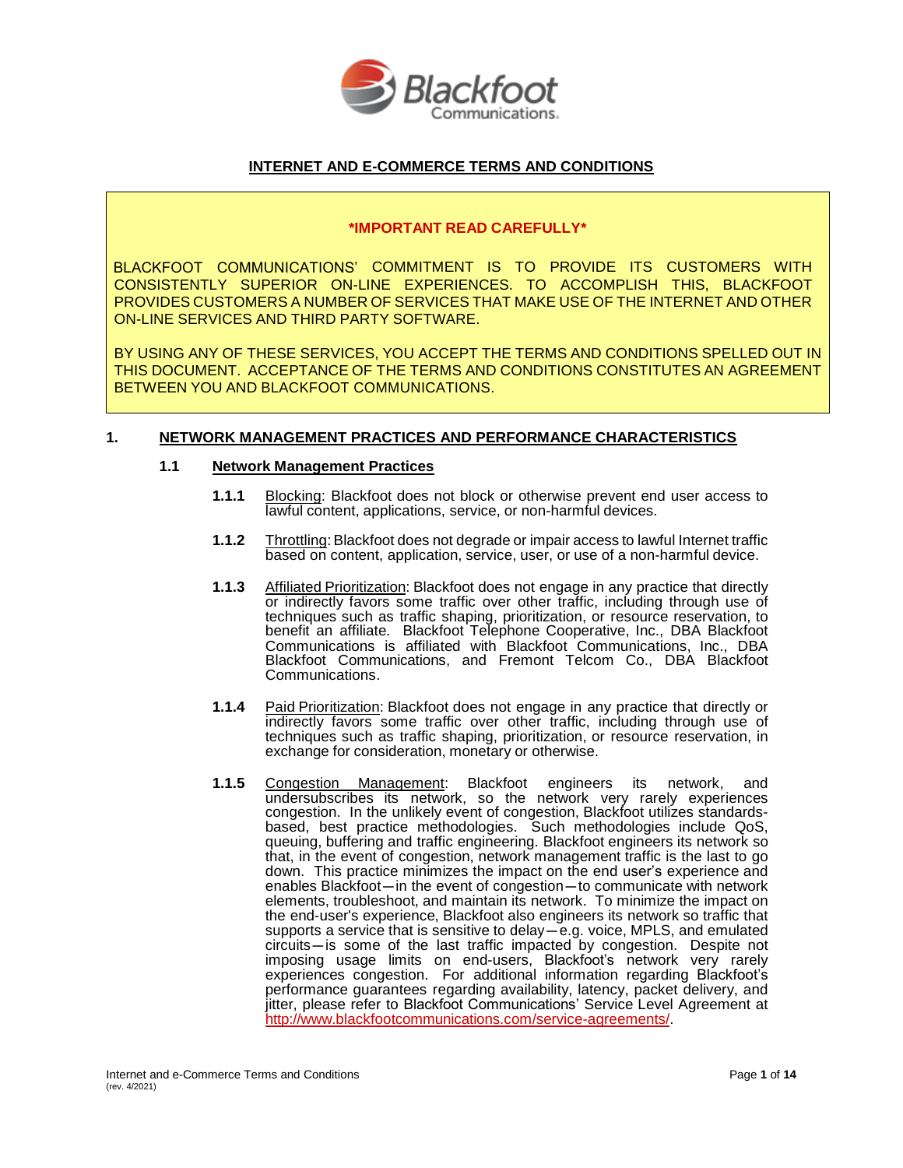

# **INTERNET AND E-COMMERCE TERMS AND CONDITIONS**

### **\*IMPORTANT READ CAREFULLY\***

BLACKFOOT COMMUNICATIONS' COMMITMENT IS TO PROVIDE ITS CUSTOMERS WITH CONSISTENTLY SUPERIOR ON-LINE EXPERIENCES. TO ACCOMPLISH THIS, BLACKFOOT PROVIDES CUSTOMERS A NUMBER OF SERVICES THAT MAKE USE OF THE INTERNET AND OTHER ON-LINE SERVICES AND THIRD PARTY SOFTWARE.

BY USING ANY OF THESE SERVICES, YOU ACCEPT THE TERMS AND CONDITIONS SPELLED OUT IN THIS DOCUMENT. ACCEPTANCE OF THE TERMS AND CONDITIONS CONSTITUTES AN AGREEMENT BETWEEN YOU AND BLACKFOOT COMMUNICATIONS.

## **1. NETWORK MANAGEMENT PRACTICES AND PERFORMANCE CHARACTERISTICS**

### **1.1 Network Management Practices**

- **1.1.1** Blocking: Blackfoot does not block or otherwise prevent end user access to lawful content, applications, service, or non-harmful devices.
- **1.1.2** Throttling: Blackfoot does not degrade or impair access to lawful Internet traffic based on content, application, service, user, or use of a non-harmful device.
- **1.1.3** Affiliated Prioritization: Blackfoot does not engage in any practice that directly or indirectly favors some traffic over other traffic, including through use of techniques such as traffic shaping, prioritization, or resource reservation, to benefit an affiliate. Blackfoot Telephone Cooperative, Inc., DBA Blackfoot Communications is affiliated with Blackfoot Communications, Inc., DBA Blackfoot Communications, and Fremont Telcom Co., DBA Blackfoot Communications.
- **1.1.4** Paid Prioritization: Blackfoot does not engage in any practice that directly or indirectly favors some traffic over other traffic, including through use of techniques such as traffic shaping, prioritization, or resource reservation, in exchange for consideration, monetary or otherwise.
- **1.1.5** Congestion Management: Blackfoot engineers its network, and undersubscribes its network, so the network very rarely experiences congestion. In the unlikely event of congestion, Blackfoot utilizes standardsbased, best practice methodologies. Such methodologies include QoS, queuing, buffering and traffic engineering. Blackfoot engineers its network so that, in the event of congestion, network management traffic is the last to go down. This practice minimizes the impact on the end user's experience and that, in the event of congestion, hetwork management trainc is the last to go<br>down. This practice minimizes the impact on the end user's experience and<br>enables Blackfoot—in the event of congestion—to communicate with netwo elements, troubleshoot, and maintain its network. To minimize the impact on<br>the end-user's experience, Blackfoot also engineers its network so traffic that<br>supports a service that is sensitive to delay—e.g. voice, MPLS, an supports a service that is sensitive to delay—e.g. voice, MPLS, and emulated circuits—is some of the last traffic impacted by congestion. Despite not imposing usage limits on end-users, Blackfoot's network very rarely experiences congestion. For additional information regarding Blackfoot's performance guarantees regarding availability, latency, packet delivery, and jitter, please refer to Blackfoot Communications' Service Level Agreement at [http://www.blackfootcommunications.com/service-agreements/.](http://www.blackfootcommunications.com/service-agreements/)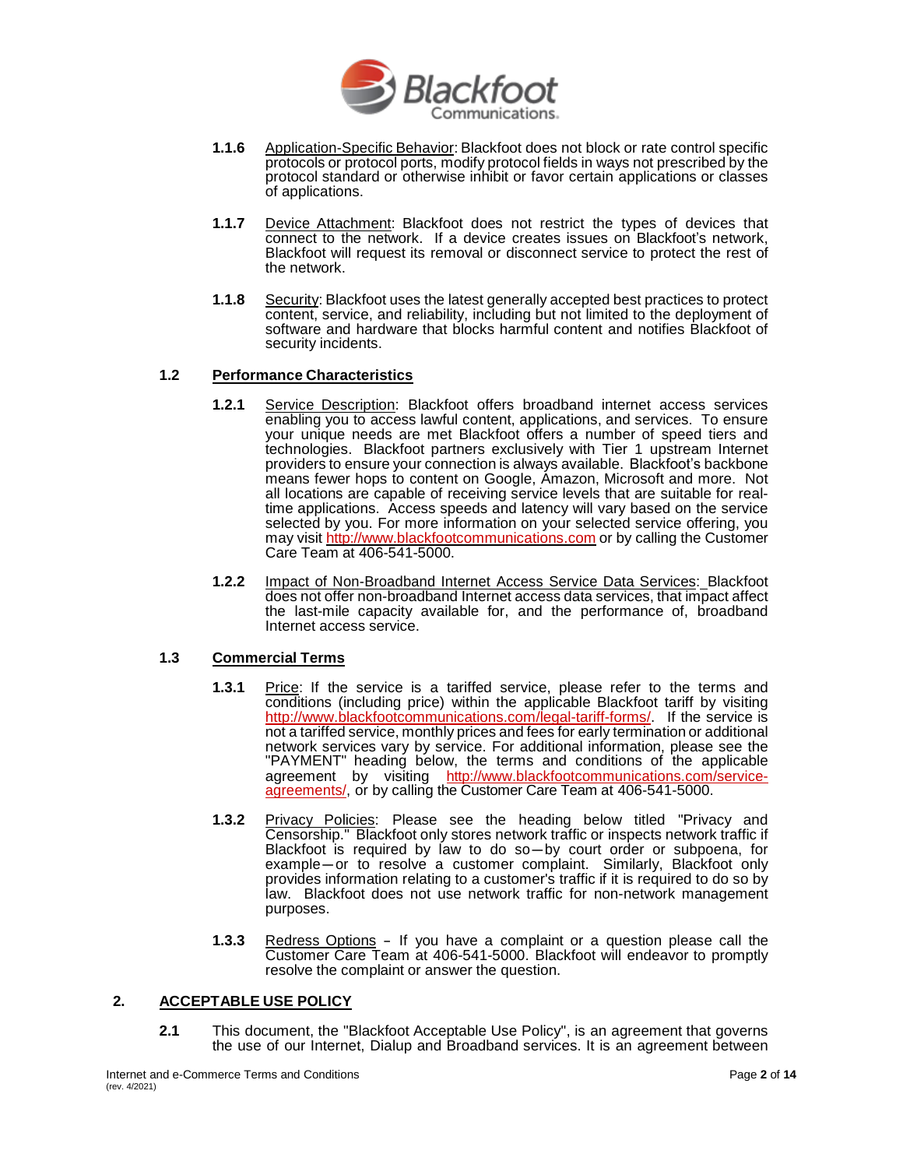

- **1.1.6** Application-Specific Behavior: Blackfoot does not block or rate control specific protocols or protocol ports, modify protocol fields in ways not prescribed by the protocol standard or otherwise inhibit or favor certain applications or classes of applications.
- **1.1.7** Device Attachment: Blackfoot does not restrict the types of devices that connect to the network. If a device creates issues on Blackfoot's network, Blackfoot will request its removal or disconnect service to protect the rest of the network.
- **1.1.8** Security: Blackfoot uses the latest generally accepted best practices to protect content, service, and reliability, including but not limited to the deployment of software and hardware that blocks harmful content and notifies Blackfoot of security incidents.

### **1.2 Performance Characteristics**

- **1.2.1** Service Description: Blackfoot offers broadband internet access services enabling you to access lawful content, applications, and services. To ensure your unique needs are met Blackfoot offers a number of speed tiers and technologies. Blackfoot partners exclusively with Tier 1 upstream Internet providers to ensure your connection is always available. Blackfoot's backbone means fewer hops to content on Google, Amazon, Microsoft and more. Not all locations are capable of receiving service levels that are suitable for realtime applications. Access speeds and latency will vary based on the service selected by you. For more information on your selected service offering, you may visit [http://www.blackfootcommunications.com](http://www.blackfootcommunications.com/) or by calling the Customer Care Team at 406-541-5000.
- **1.2.2** Impact of Non-Broadband Internet Access Service Data Services: Blackfoot does not offer non-broadband Internet access data services, that impact affect the last-mile capacity available for, and the performance of, broadband Internet access service.

### **1.3 Commercial Terms**

- **1.3.1** Price: If the service is a tariffed service, please refer to the terms and conditions (including price) within the applicable Blackfoot tariff by visiting [http://www.blackfootcommunications.com/legal-tariff-forms/.](http://www.blackfootcommunications.com/legal-tariff-forms/) If the service is not a tariffed service, monthly prices and fees for early termination or additional network services vary by service. For additional information, please see the "PAYMENT" heading below, the terms and conditions of the applicable agreement by visiting [http://www.blackfootcommunications.com/service](http://www.blackfootcommunications.com/service-agreements/)[agreements/,](http://www.blackfootcommunications.com/service-agreements/) or by calling the Customer Care Team at 406-541-5000.
- **1.3.2** Privacy Policies: Please see the heading below titled "Privacy and **Privacy Policies.** Please see the heading below titled Privacy and<br>Censorship." Blackfoot only stores network traffic or inspects network traffic if<br>Blackfoot is required by law to do so—by court order or subpoena, for Censorship. Blackfoot only stores hetwork traffic or inspects hetwork traffic if<br>Blackfoot is required by law to do so—by court order or subpoena, for<br>example—or to resolve a customer complaint. Similarly, Blackfoot only<br>p law. Blackfoot does not use network traffic for non-network management purposes.
- **1.3.3** Redress Options If you have a complaint or a question please call the Customer Care Team at 406-541-5000. Blackfoot will endeavor to promptly resolve the complaint or answer the question.

### **2. ACCEPTABLE USE POLICY**

**2.1** This document, the "Blackfoot Acceptable Use Policy", is an agreement that governs the use of our Internet, Dialup and Broadband services. It is an agreement between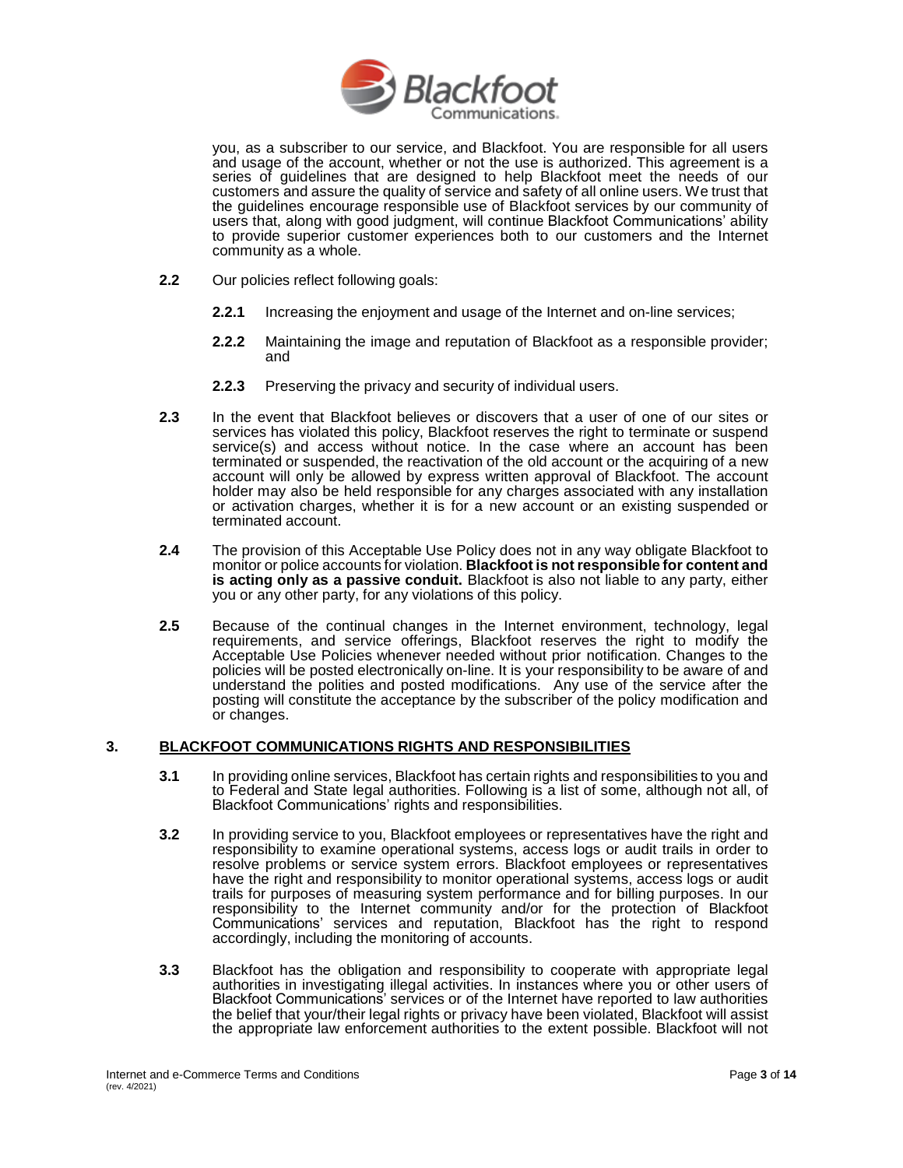

you, as a subscriber to our service, and Blackfoot. You are responsible for all users and usage of the account, whether or not the use is authorized. This agreement is a series of guidelines that are designed to help Blackfoot meet the needs of our customers and assure the quality of service and safety of all online users. We trust that the guidelines encourage responsible use of Blackfoot services by our community of users that, along with good judgment, will continue Blackfoot Communications' ability to provide superior customer experiences both to our customers and the Internet community as a whole.

- **2.2** Our policies reflect following goals:
	- **2.2.1** Increasing the enjoyment and usage of the Internet and on-line services;
	- **2.2.2** Maintaining the image and reputation of Blackfoot as a responsible provider; and
	- **2.2.3** Preserving the privacy and security of individual users.
- **2.3** In the event that Blackfoot believes or discovers that a user of one of our sites or services has violated this policy, Blackfoot reserves the right to terminate or suspend service(s) and access without notice. In the case where an account has been terminated or suspended, the reactivation of the old account or the acquiring of a new account will only be allowed by express written approval of Blackfoot. The account holder may also be held responsible for any charges associated with any installation or activation charges, whether it is for a new account or an existing suspended or terminated account.
- **2.4** The provision of this Acceptable Use Policy does not in any way obligate Blackfoot to monitor or police accounts for violation. **Blackfoot is not responsible for content and is acting only as a passive conduit.** Blackfoot is also not liable to any party, either you or any other party, for any violations of this policy.
- **2.5** Because of the continual changes in the Internet environment, technology, legal requirements, and service offerings, Blackfoot reserves the right to modify the Acceptable Use Policies whenever needed without prior notification. Changes to the policies will be posted electronically on-line. It is your responsibility to be aware of and understand the polities and posted modifications. Any use of the service after the posting will constitute the acceptance by the subscriber of the policy modification and or changes.

### **3. BLACKFOOT COMMUNICATIONS RIGHTS AND RESPONSIBILITIES**

- **3.1** In providing online services, Blackfoot has certain rights and responsibilities to you and to Federal and State legal authorities. Following is a list of some, although not all, of Blackfoot Communications' rights and responsibilities.
- **3.2** In providing service to you, Blackfoot employees or representatives have the right and responsibility to examine operational systems, access logs or audit trails in order to resolve problems or service system errors. Blackfoot employees or representatives have the right and responsibility to monitor operational systems, access logs or audit trails for purposes of measuring system performance and for billing purposes. In our responsibility to the Internet community and/or for the protection of Blackfoot Communications' services and reputation, Blackfoot has the right to respond accordingly, including the monitoring of accounts.
- **3.3** Blackfoot has the obligation and responsibility to cooperate with appropriate legal authorities in investigating illegal activities. In instances where you or other users of Blackfoot Communications' services or of the Internet have reported to law authorities the belief that your/their legal rights or privacy have been violated, Blackfoot will assist the appropriate law enforcement authorities to the extent possible. Blackfoot will not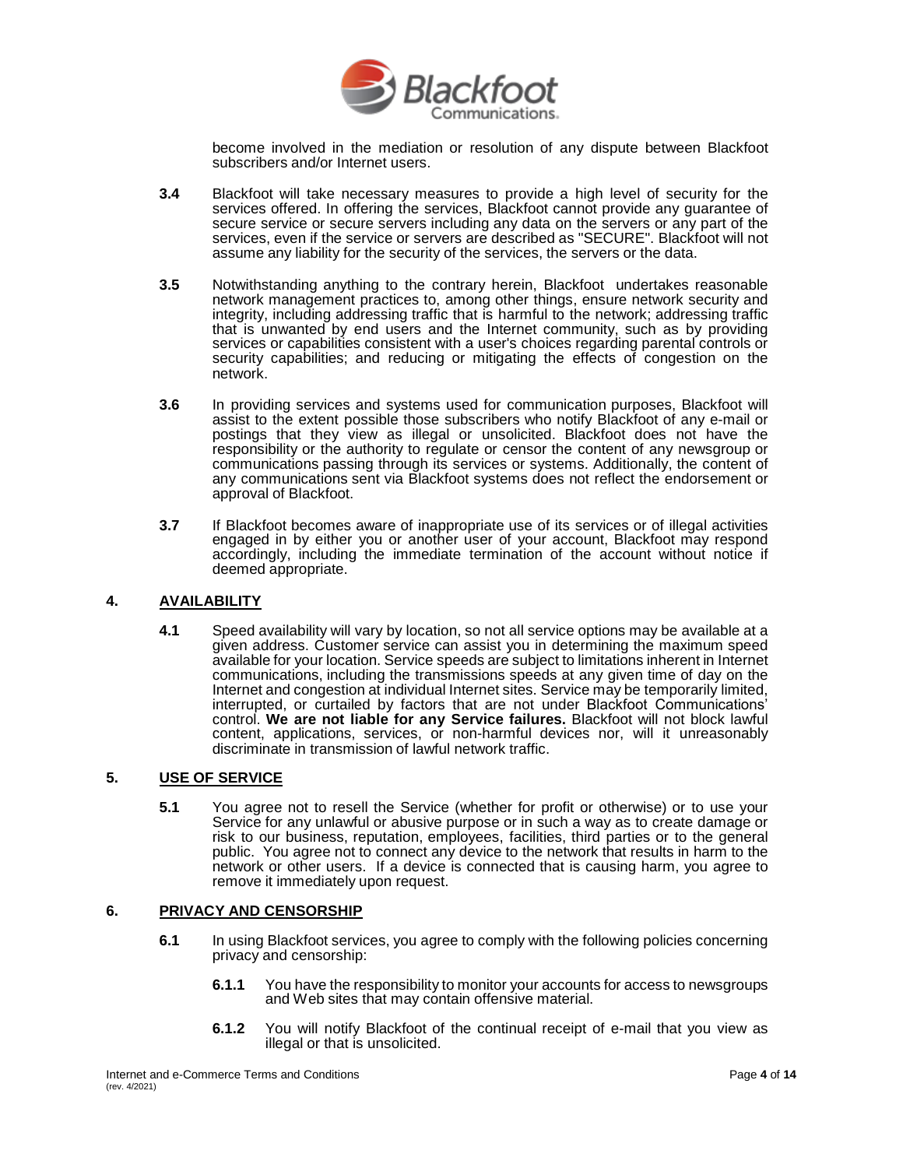

become involved in the mediation or resolution of any dispute between Blackfoot subscribers and/or Internet users.

- **3.4** Blackfoot will take necessary measures to provide a high level of security for the services offered. In offering the services, Blackfoot cannot provide any guarantee of secure service or secure servers including any data on the servers or any part of the services, even if the service or servers are described as "SECURE". Blackfoot will not assume any liability for the security of the services, the servers or the data.
- **3.5** Notwithstanding anything to the contrary herein, Blackfoot undertakes reasonable network management practices to, among other things, ensure network security and integrity, including addressing traffic that is harmful to the network; addressing traffic that is unwanted by end users and the Internet community, such as by providing services or capabilities consistent with a user's choices regarding parental controls or security capabilities; and reducing or mitigating the effects of congestion on the network.
- **3.6** In providing services and systems used for communication purposes, Blackfoot will assist to the extent possible those subscribers who notify Blackfoot of any e-mail or postings that they view as illegal or unsolicited. Blackfoot does not have the responsibility or the authority to regulate or censor the content of any newsgroup or communications passing through its services or systems. Additionally, the content of any communications sent via Blackfoot systems does not reflect the endorsement or approval of Blackfoot.
- **3.7** If Blackfoot becomes aware of inappropriate use of its services or of illegal activities engaged in by either you or another user of your account, Blackfoot may respond accordingly, including the immediate termination of the account without notice if deemed appropriate.

### **4. AVAILABILITY**

**4.1** Speed availability will vary by location, so not all service options may be available at a given address. Customer service can assist you in determining the maximum speed available for your location. Service speeds are subject to limitations inherent in Internet communications, including the transmissions speeds at any given time of day on the Internet and congestion at individual Internet sites. Service may be temporarily limited, interrupted, or curtailed by factors that are not under Blackfoot Communications' control. **We are not liable for any Service failures.** Blackfoot will not block lawful content, applications, services, or non-harmful devices nor, will it unreasonably discriminate in transmission of lawful network traffic.

### **5. USE OF SERVICE**

**5.1** You agree not to resell the Service (whether for profit or otherwise) or to use your Service for any unlawful or abusive purpose or in such a way as to create damage or risk to our business, reputation, employees, facilities, third parties or to the general public. You agree not to connect any device to the network that results in harm to the network or other users. If a device is connected that is causing harm, you agree to remove it immediately upon request.

#### **6. PRIVACY AND CENSORSHIP**

- **6.1** In using Blackfoot services, you agree to comply with the following policies concerning privacy and censorship:
	- **6.1.1** You have the responsibility to monitor your accounts for access to newsgroups and Web sites that may contain offensive material.
	- **6.1.2** You will notify Blackfoot of the continual receipt of e-mail that you view as illegal or that is unsolicited.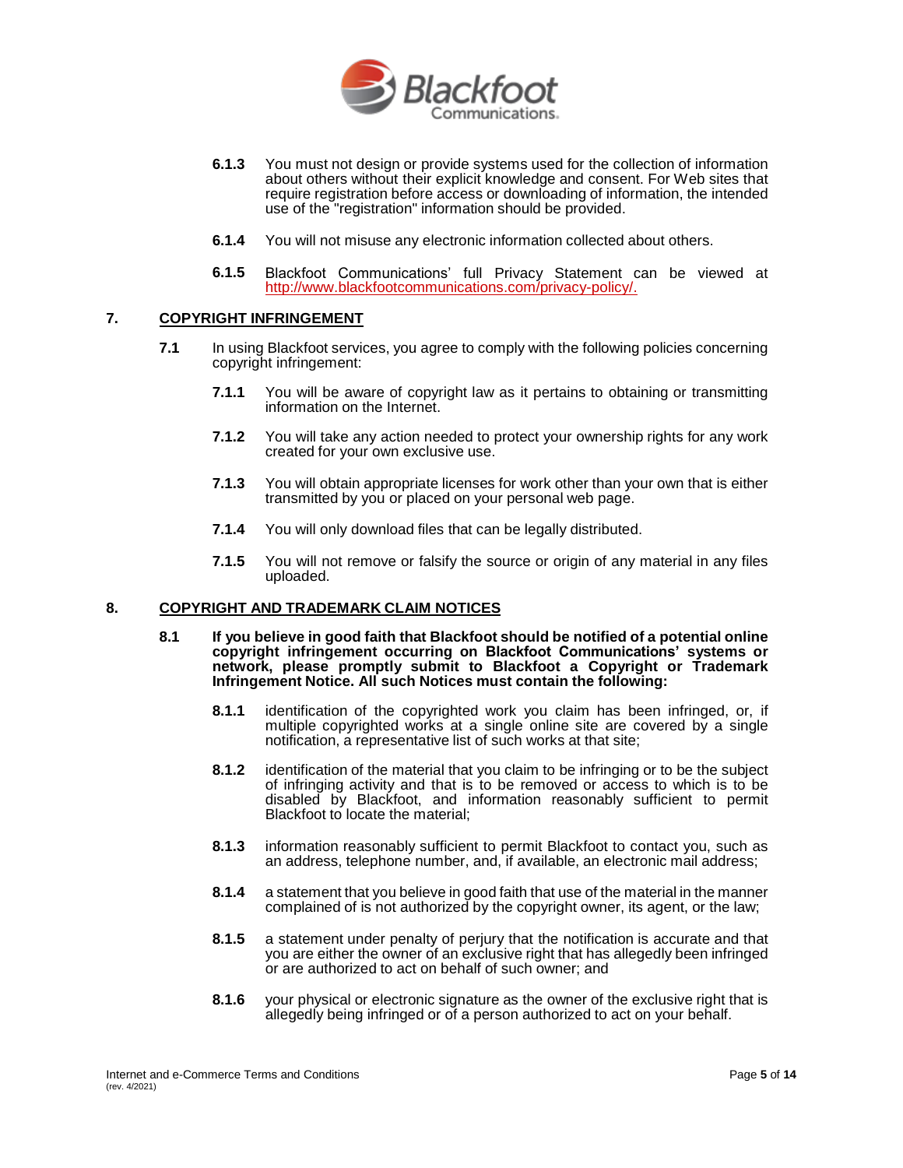

- **6.1.3** You must not design or provide systems used for the collection of information about others without their explicit knowledge and consent. For Web sites that require registration before access or downloading of information, the intended use of the "registration" information should be provided.
- **6.1.4** You will not misuse any electronic information collected about others.
- **6.1.5** Blackfoot Communications' full Privacy Statement can be viewed at [http://www.blackfootcommunications.com/privacy-policy/.](http://www.blackfoot.com/privacy-policy/)

### **7. COPYRIGHT INFRINGEMENT**

- **7.1** In using Blackfoot services, you agree to comply with the following policies concerning copyright infringement:
	- **7.1.1** You will be aware of copyright law as it pertains to obtaining or transmitting information on the Internet.
	- **7.1.2** You will take any action needed to protect your ownership rights for any work created for your own exclusive use.
	- **7.1.3** You will obtain appropriate licenses for work other than your own that is either transmitted by you or placed on your personal web page.
	- **7.1.4** You will only download files that can be legally distributed.
	- **7.1.5** You will not remove or falsify the source or origin of any material in any files uploaded.

#### **8. COPYRIGHT AND TRADEMARK CLAIM NOTICES**

- **8.1 If you believe in good faith that Blackfoot should be notified of a potential online copyright infringement occurring on Blackfoot Communications' systems or network, please promptly submit to Blackfoot a Copyright or Trademark Infringement Notice. All such Notices must contain the following:**
	- **8.1.1** identification of the copyrighted work you claim has been infringed, or, if multiple copyrighted works at a single online site are covered by a single notification, a representative list of such works at that site;
	- **8.1.2** identification of the material that you claim to be infringing or to be the subject of infringing activity and that is to be removed or access to which is to be disabled by Blackfoot, and information reasonably sufficient to permit Blackfoot to locate the material;
	- **8.1.3** information reasonably sufficient to permit Blackfoot to contact you, such as an address, telephone number, and, if available, an electronic mail address;
	- **8.1.4** a statement that you believe in good faith that use of the material in the manner complained of is not authorized by the copyright owner, its agent, or the law;
	- **8.1.5** a statement under penalty of perjury that the notification is accurate and that you are either the owner of an exclusive right that has allegedly been infringed or are authorized to act on behalf of such owner; and
	- **8.1.6** your physical or electronic signature as the owner of the exclusive right that is allegedly being infringed or of a person authorized to act on your behalf.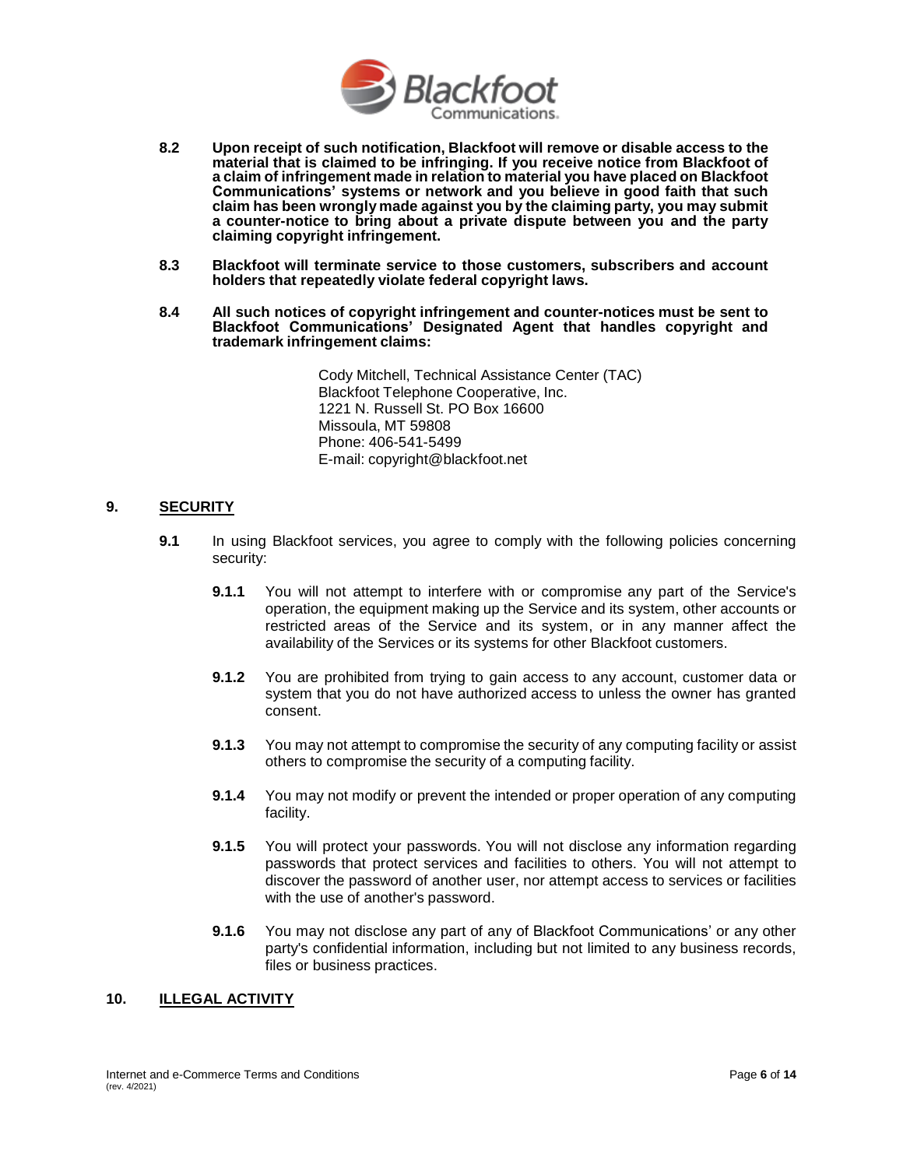

- **8.2 Upon receipt of such notification, Blackfoot will remove or disable access to the material that is claimed to be infringing. If you receive notice from Blackfoot of a claim of infringement made in relation to material you have placed on Blackfoot Communications' systems or network and you believe in good faith that such claim has been wrongly made against you by the claiming party, you may submit a counter-notice to bring about a private dispute between you and the party claiming copyright infringement.**
- **8.3 Blackfoot will terminate service to those customers, subscribers and account holders that repeatedly violate federal copyright laws.**
- **8.4 All such notices of copyright infringement and counter-notices must be sent to Blackfoot Communications' Designated Agent that handles copyright and trademark infringement claims:**

Cody Mitchell, Technical Assistance Center (TAC) Blackfoot Telephone Cooperative, Inc. 1221 N. Russell St. PO Box 16600 Missoula, MT 59808 Phone: 406-541-5499 E-mail: [copyright@blackfoot.net](mailto:copyright@blackfoot.net)

## **9. SECURITY**

- **9.1** In using Blackfoot services, you agree to comply with the following policies concerning security:
	- **9.1.1** You will not attempt to interfere with or compromise any part of the Service's operation, the equipment making up the Service and its system, other accounts or restricted areas of the Service and its system, or in any manner affect the availability of the Services or its systems for other Blackfoot customers.
	- **9.1.2** You are prohibited from trying to gain access to any account, customer data or system that you do not have authorized access to unless the owner has granted consent.
	- **9.1.3** You may not attempt to compromise the security of any computing facility or assist others to compromise the security of a computing facility.
	- **9.1.4** You may not modify or prevent the intended or proper operation of any computing facility.
	- **9.1.5** You will protect your passwords. You will not disclose any information regarding passwords that protect services and facilities to others. You will not attempt to discover the password of another user, nor attempt access to services or facilities with the use of another's password.
	- **9.1.6** You may not disclose any part of any of Blackfoot Communications' or any other party's confidential information, including but not limited to any business records, files or business practices.

## **10. ILLEGAL ACTIVITY**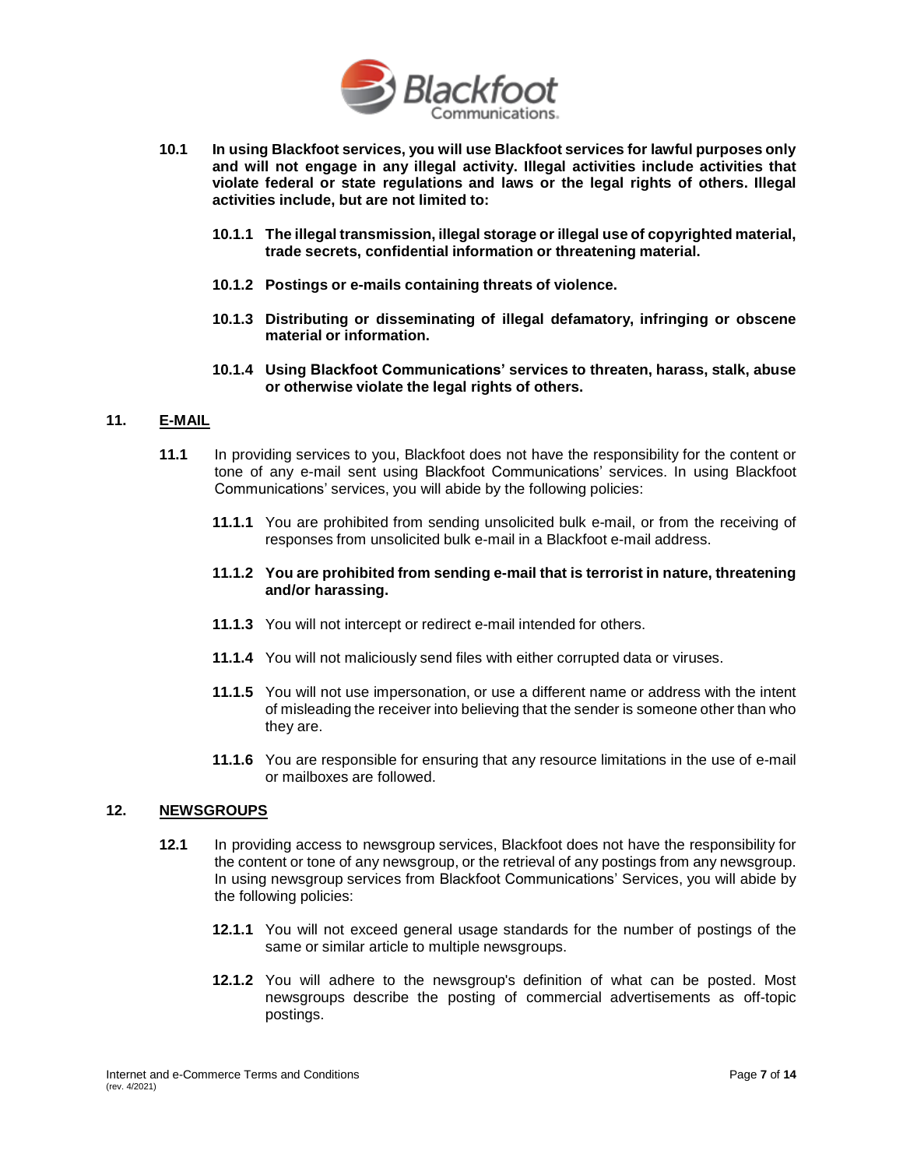

- **10.1 In using Blackfoot services, you will use Blackfoot services for lawful purposes only and will not engage in any illegal activity. Illegal activities include activities that violate federal or state regulations and laws or the legal rights of others. Illegal activities include, but are not limited to:**
	- **10.1.1 The illegal transmission, illegal storage or illegal use of copyrighted material, trade secrets, confidential information or threatening material.**
	- **10.1.2 Postings or e-mails containing threats of violence.**
	- **10.1.3 Distributing or disseminating of illegal defamatory, infringing or obscene material or information.**
	- **10.1.4 Using Blackfoot Communications' services to threaten, harass, stalk, abuse or otherwise violate the legal rights of others.**

### **11. E-MAIL**

- **11.1** In providing services to you, Blackfoot does not have the responsibility for the content or tone of any e-mail sent using Blackfoot Communications' services. In using Blackfoot Communications' services, you will abide by the following policies:
	- **11.1.1** You are prohibited from sending unsolicited bulk e-mail, or from the receiving of responses from unsolicited bulk e-mail in a Blackfoot e-mail address.
	- **11.1.2 You are prohibited from sending e-mail that is terrorist in nature, threatening and/or harassing.**
	- **11.1.3** You will not intercept or redirect e-mail intended for others.
	- **11.1.4** You will not maliciously send files with either corrupted data or viruses.
	- **11.1.5** You will not use impersonation, or use a different name or address with the intent of misleading the receiver into believing that the sender is someone other than who they are.
	- **11.1.6** You are responsible for ensuring that any resource limitations in the use of e-mail or mailboxes are followed.

### **12. NEWSGROUPS**

- **12.1** In providing access to newsgroup services, Blackfoot does not have the responsibility for the content or tone of any newsgroup, or the retrieval of any postings from any newsgroup. In using newsgroup services from Blackfoot Communications' Services, you will abide by the following policies:
	- **12.1.1** You will not exceed general usage standards for the number of postings of the same or similar article to multiple newsgroups.
	- **12.1.2** You will adhere to the newsgroup's definition of what can be posted. Most newsgroups describe the posting of commercial advertisements as off-topic postings.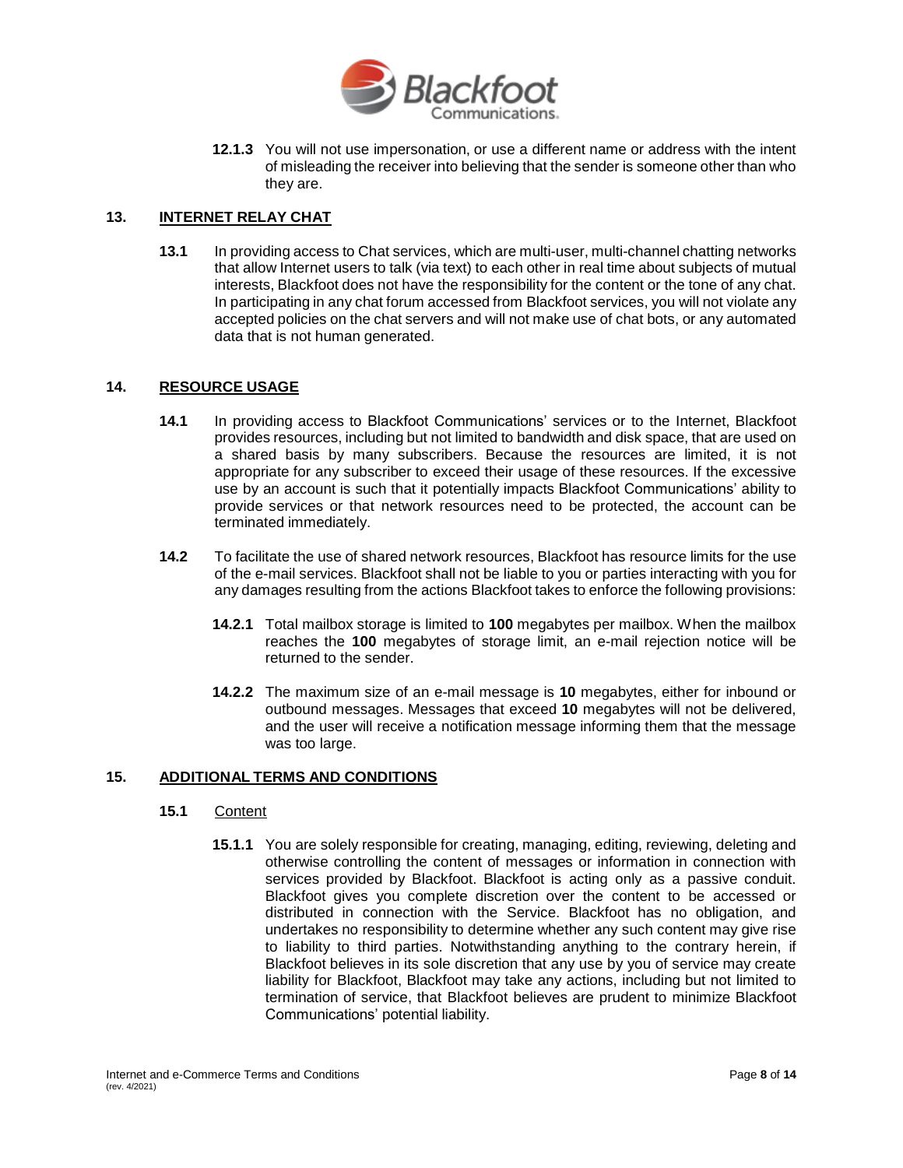

**12.1.3** You will not use impersonation, or use a different name or address with the intent of misleading the receiver into believing that the sender is someone other than who they are.

### **13. INTERNET RELAY CHAT**

**13.1** In providing access to Chat services, which are multi-user, multi-channel chatting networks that allow Internet users to talk (via text) to each other in real time about subjects of mutual interests, Blackfoot does not have the responsibility for the content or the tone of any chat. In participating in any chat forum accessed from Blackfoot services, you will not violate any accepted policies on the chat servers and will not make use of chat bots, or any automated data that is not human generated.

### **14. RESOURCE USAGE**

- **14.1** In providing access to Blackfoot Communications' services or to the Internet, Blackfoot provides resources, including but not limited to bandwidth and disk space, that are used on a shared basis by many subscribers. Because the resources are limited, it is not appropriate for any subscriber to exceed their usage of these resources. If the excessive use by an account is such that it potentially impacts Blackfoot Communications' ability to provide services or that network resources need to be protected, the account can be terminated immediately.
- **14.2** To facilitate the use of shared network resources, Blackfoot has resource limits for the use of the e-mail services. Blackfoot shall not be liable to you or parties interacting with you for any damages resulting from the actions Blackfoot takes to enforce the following provisions:
	- **14.2.1** Total mailbox storage is limited to **100** megabytes per mailbox. When the mailbox reaches the **100** megabytes of storage limit, an e-mail rejection notice will be returned to the sender.
	- **14.2.2** The maximum size of an e-mail message is **10** megabytes, either for inbound or outbound messages. Messages that exceed **10** megabytes will not be delivered, and the user will receive a notification message informing them that the message was too large.

### **15. ADDITIONAL TERMS AND CONDITIONS**

## **15.1** Content

**15.1.1** You are solely responsible for creating, managing, editing, reviewing, deleting and otherwise controlling the content of messages or information in connection with services provided by Blackfoot. Blackfoot is acting only as a passive conduit. Blackfoot gives you complete discretion over the content to be accessed or distributed in connection with the Service. Blackfoot has no obligation, and undertakes no responsibility to determine whether any such content may give rise to liability to third parties. Notwithstanding anything to the contrary herein, if Blackfoot believes in its sole discretion that any use by you of service may create liability for Blackfoot, Blackfoot may take any actions, including but not limited to termination of service, that Blackfoot believes are prudent to minimize Blackfoot Communications' potential liability.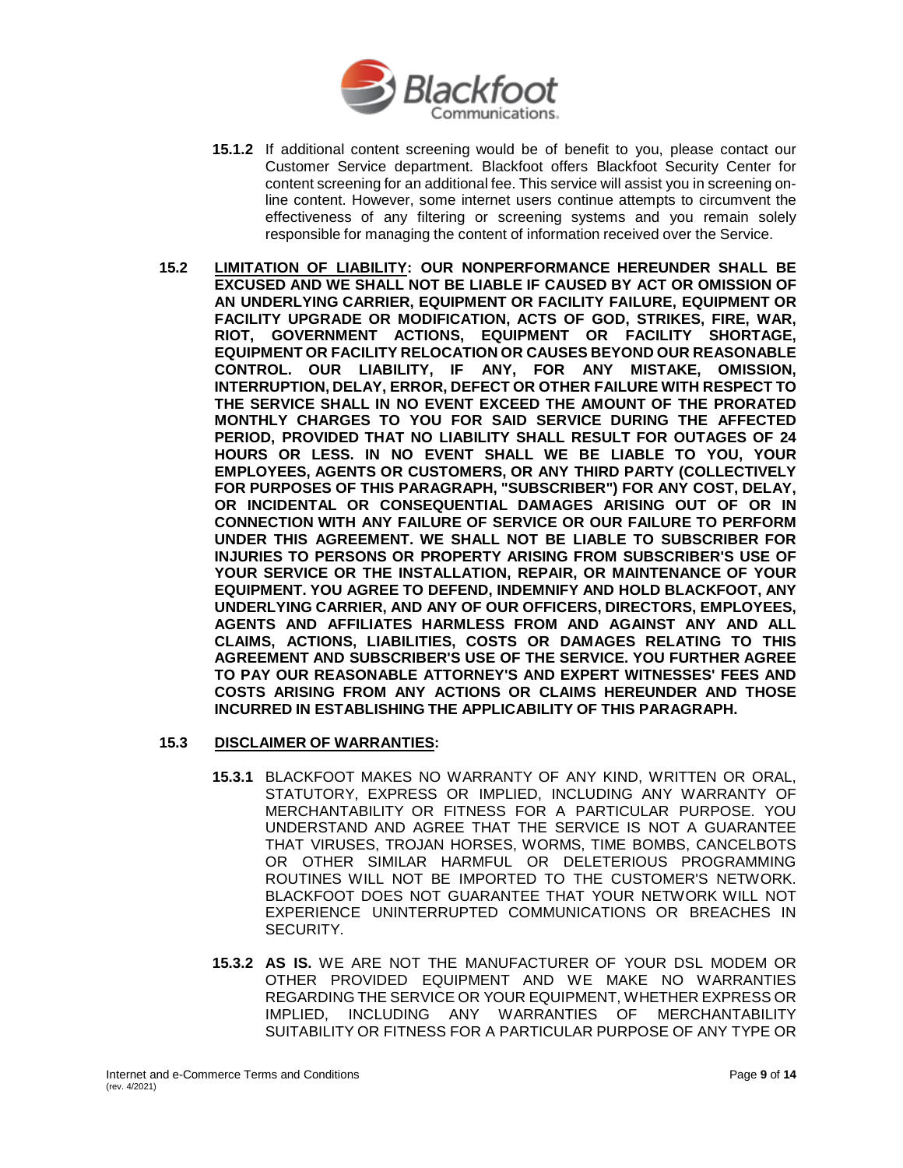

- **15.1.2** If additional content screening would be of benefit to you, please contact our Customer Service department. Blackfoot offers Blackfoot Security Center for content screening for an additional fee. This service will assist you in screening online content. However, some internet users continue attempts to circumvent the effectiveness of any filtering or screening systems and you remain solely responsible for managing the content of information received over the Service.
- **15.2 LIMITATION OF LIABILITY: OUR NONPERFORMANCE HEREUNDER SHALL BE EXCUSED AND WE SHALL NOT BE LIABLE IF CAUSED BY ACT OR OMISSION OF AN UNDERLYING CARRIER, EQUIPMENT OR FACILITY FAILURE, EQUIPMENT OR FACILITY UPGRADE OR MODIFICATION, ACTS OF GOD, STRIKES, FIRE, WAR, RIOT, GOVERNMENT ACTIONS, EQUIPMENT OR FACILITY SHORTAGE, EQUIPMENT OR FACILITY RELOCATION OR CAUSES BEYOND OUR REASONABLE CONTROL. OUR LIABILITY, IF ANY, FOR ANY MISTAKE, OMISSION, INTERRUPTION, DELAY, ERROR, DEFECT OR OTHER FAILURE WITH RESPECT TO THE SERVICE SHALL IN NO EVENT EXCEED THE AMOUNT OF THE PRORATED MONTHLY CHARGES TO YOU FOR SAID SERVICE DURING THE AFFECTED PERIOD, PROVIDED THAT NO LIABILITY SHALL RESULT FOR OUTAGES OF 24 HOURS OR LESS. IN NO EVENT SHALL WE BE LIABLE TO YOU, YOUR EMPLOYEES, AGENTS OR CUSTOMERS, OR ANY THIRD PARTY (COLLECTIVELY FOR PURPOSES OF THIS PARAGRAPH, "SUBSCRIBER") FOR ANY COST, DELAY, OR INCIDENTAL OR CONSEQUENTIAL DAMAGES ARISING OUT OF OR IN CONNECTION WITH ANY FAILURE OF SERVICE OR OUR FAILURE TO PERFORM UNDER THIS AGREEMENT. WE SHALL NOT BE LIABLE TO SUBSCRIBER FOR INJURIES TO PERSONS OR PROPERTY ARISING FROM SUBSCRIBER'S USE OF YOUR SERVICE OR THE INSTALLATION, REPAIR, OR MAINTENANCE OF YOUR EQUIPMENT. YOU AGREE TO DEFEND, INDEMNIFY AND HOLD BLACKFOOT, ANY UNDERLYING CARRIER, AND ANY OF OUR OFFICERS, DIRECTORS, EMPLOYEES, AGENTS AND AFFILIATES HARMLESS FROM AND AGAINST ANY AND ALL CLAIMS, ACTIONS, LIABILITIES, COSTS OR DAMAGES RELATING TO THIS AGREEMENT AND SUBSCRIBER'S USE OF THE SERVICE. YOU FURTHER AGREE TO PAY OUR REASONABLE ATTORNEY'S AND EXPERT WITNESSES' FEES AND COSTS ARISING FROM ANY ACTIONS OR CLAIMS HEREUNDER AND THOSE INCURRED IN ESTABLISHING THE APPLICABILITY OF THIS PARAGRAPH.**
- **15.3 DISCLAIMER OF WARRANTIES:**
	- **15.3.1** BLACKFOOT MAKES NO WARRANTY OF ANY KIND, WRITTEN OR ORAL, STATUTORY, EXPRESS OR IMPLIED, INCLUDING ANY WARRANTY OF MERCHANTABILITY OR FITNESS FOR A PARTICULAR PURPOSE. YOU UNDERSTAND AND AGREE THAT THE SERVICE IS NOT A GUARANTEE THAT VIRUSES, TROJAN HORSES, WORMS, TIME BOMBS, CANCELBOTS OR OTHER SIMILAR HARMFUL OR DELETERIOUS PROGRAMMING ROUTINES WILL NOT BE IMPORTED TO THE CUSTOMER'S NETWORK. BLACKFOOT DOES NOT GUARANTEE THAT YOUR NETWORK WILL NOT EXPERIENCE UNINTERRUPTED COMMUNICATIONS OR BREACHES IN SECURITY.
	- **15.3.2 AS IS.** WE ARE NOT THE MANUFACTURER OF YOUR DSL MODEM OR OTHER PROVIDED EQUIPMENT AND WE MAKE NO WARRANTIES REGARDING THE SERVICE OR YOUR EQUIPMENT, WHETHER EXPRESS OR IMPLIED, INCLUDING ANY WARRANTIES OF MERCHANTABILITY SUITABILITY OR FITNESS FOR A PARTICULAR PURPOSE OF ANY TYPE OR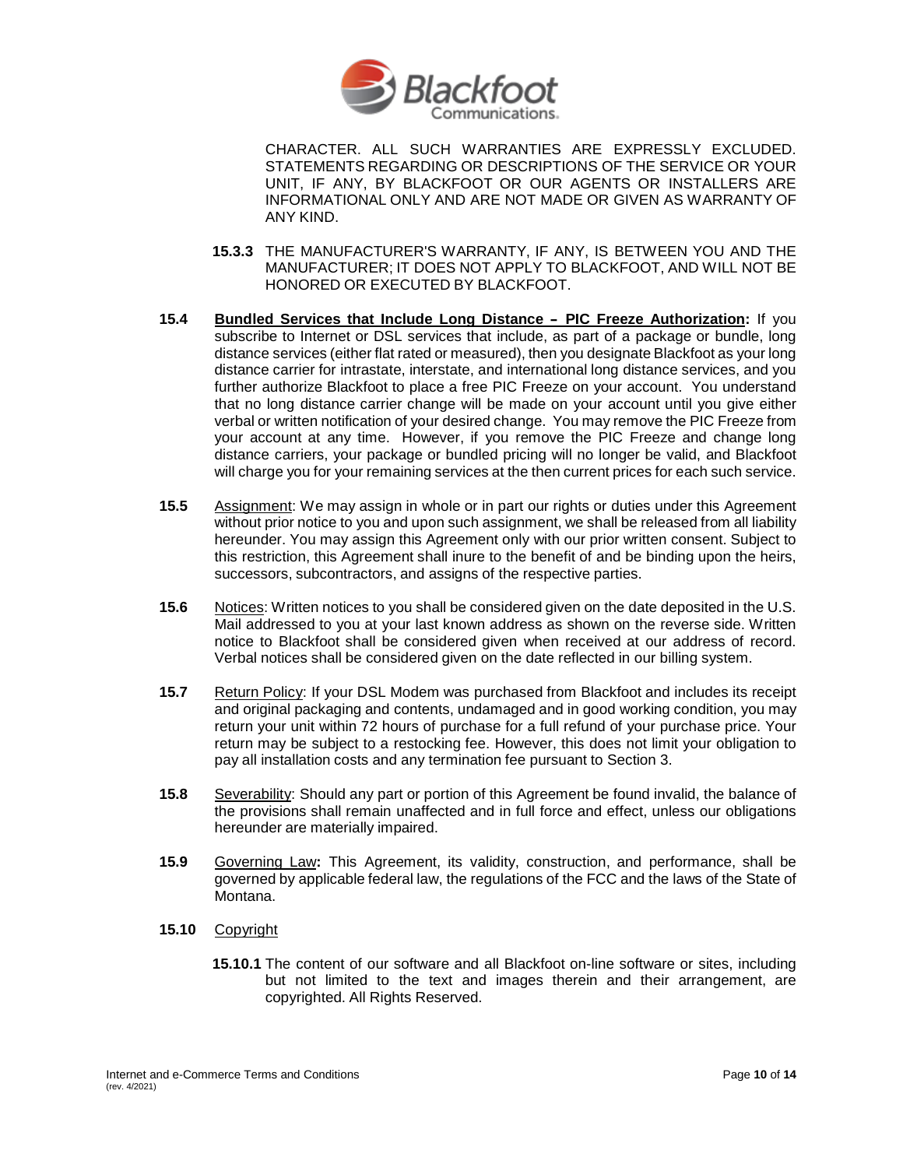

CHARACTER. ALL SUCH WARRANTIES ARE EXPRESSLY EXCLUDED. STATEMENTS REGARDING OR DESCRIPTIONS OF THE SERVICE OR YOUR UNIT, IF ANY, BY BLACKFOOT OR OUR AGENTS OR INSTALLERS ARE INFORMATIONAL ONLY AND ARE NOT MADE OR GIVEN AS WARRANTY OF ANY KIND.

- **15.3.3** THE MANUFACTURER'S WARRANTY, IF ANY, IS BETWEEN YOU AND THE MANUFACTURER; IT DOES NOT APPLY TO BLACKFOOT, AND WILL NOT BE HONORED OR EXECUTED BY BLACKFOOT.
- **15.4 Bundled Services that Include Long Distance - PIC Freeze Authorization:** If you subscribe to Internet or DSL services that include, as part of a package or bundle, long distance services (either flat rated or measured), then you designate Blackfoot as your long distance carrier for intrastate, interstate, and international long distance services, and you further authorize Blackfoot to place a free PIC Freeze on your account. You understand that no long distance carrier change will be made on your account until you give either verbal or written notification of your desired change. You may remove the PIC Freeze from your account at any time. However, if you remove the PIC Freeze and change long distance carriers, your package or bundled pricing will no longer be valid, and Blackfoot will charge you for your remaining services at the then current prices for each such service.
- **15.5** Assignment: We may assign in whole or in part our rights or duties under this Agreement without prior notice to you and upon such assignment, we shall be released from all liability hereunder. You may assign this Agreement only with our prior written consent. Subject to this restriction, this Agreement shall inure to the benefit of and be binding upon the heirs, successors, subcontractors, and assigns of the respective parties.
- **15.6** Notices: Written notices to you shall be considered given on the date deposited in the U.S. Mail addressed to you at your last known address as shown on the reverse side. Written notice to Blackfoot shall be considered given when received at our address of record. Verbal notices shall be considered given on the date reflected in our billing system.
- **15.7** Return Policy: If your DSL Modem was purchased from Blackfoot and includes its receipt and original packaging and contents, undamaged and in good working condition, you may return your unit within 72 hours of purchase for a full refund of your purchase price. Your return may be subject to a restocking fee. However, this does not limit your obligation to pay all installation costs and any termination fee pursuant to Section 3.
- **15.8** Severability: Should any part or portion of this Agreement be found invalid, the balance of the provisions shall remain unaffected and in full force and effect, unless our obligations hereunder are materially impaired.
- **15.9** Governing Law**:** This Agreement, its validity, construction, and performance, shall be governed by applicable federal law, the regulations of the FCC and the laws of the State of Montana.
- **15.10** Copyright
	- **15.10.1** The content of our software and all Blackfoot on-line software or sites, including but not limited to the text and images therein and their arrangement, are copyrighted. All Rights Reserved.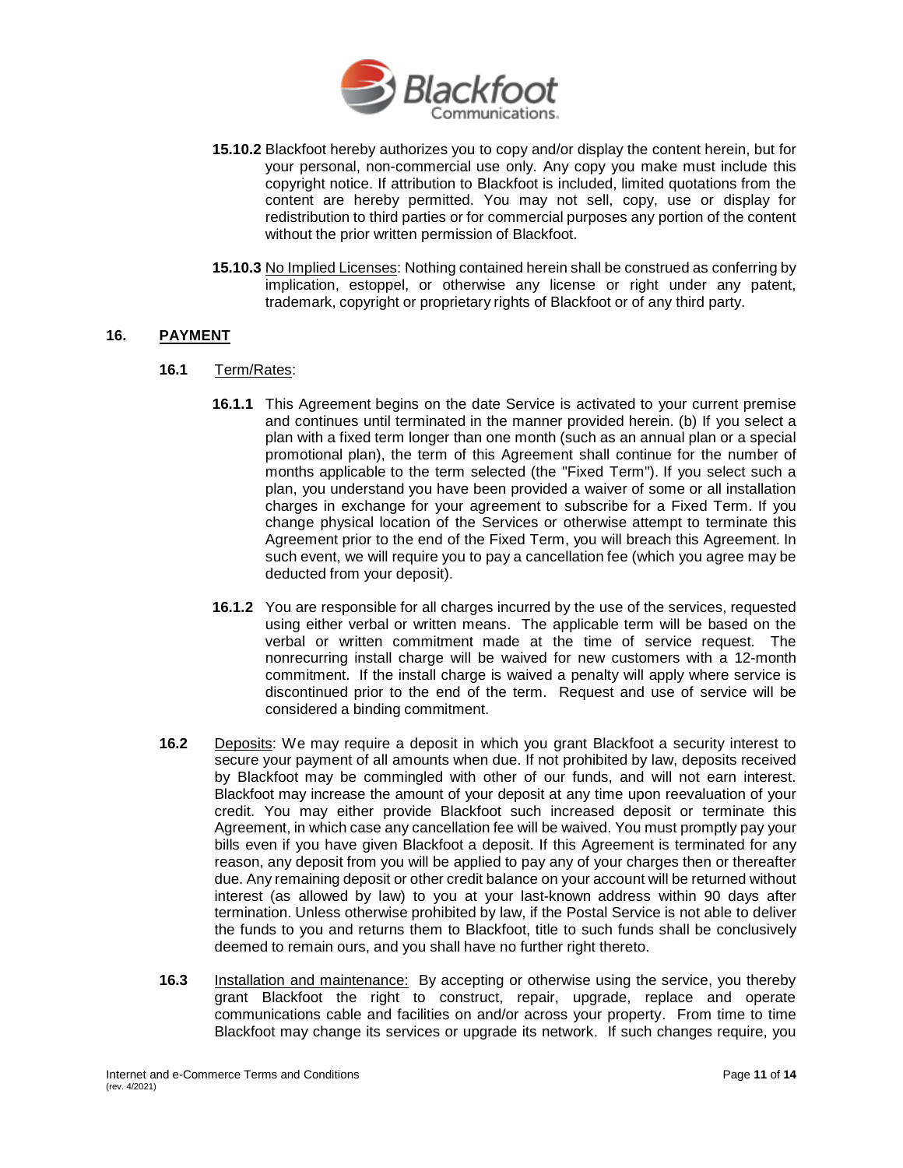

- **15.10.2** Blackfoot hereby authorizes you to copy and/or display the content herein, but for your personal, non-commercial use only. Any copy you make must include this copyright notice. If attribution to Blackfoot is included, limited quotations from the content are hereby permitted. You may not sell, copy, use or display for redistribution to third parties or for commercial purposes any portion of the content without the prior written permission of Blackfoot.
- **15.10.3** No Implied Licenses: Nothing contained herein shall be construed as conferring by implication, estoppel, or otherwise any license or right under any patent, trademark, copyright or proprietary rights of Blackfoot or of any third party.

## **16. PAYMENT**

## **16.1** Term/Rates:

- **16.1.1** This Agreement begins on the date Service is activated to your current premise and continues until terminated in the manner provided herein. (b) If you select a plan with a fixed term longer than one month (such as an annual plan or a special promotional plan), the term of this Agreement shall continue for the number of months applicable to the term selected (the "Fixed Term"). If you select such a plan, you understand you have been provided a waiver of some or all installation charges in exchange for your agreement to subscribe for a Fixed Term. If you change physical location of the Services or otherwise attempt to terminate this Agreement prior to the end of the Fixed Term, you will breach this Agreement. In such event, we will require you to pay a cancellation fee (which you agree may be deducted from your deposit).
- **16.1.2** You are responsible for all charges incurred by the use of the services, requested using either verbal or written means. The applicable term will be based on the verbal or written commitment made at the time of service request. The nonrecurring install charge will be waived for new customers with a 12-month commitment. If the install charge is waived a penalty will apply where service is discontinued prior to the end of the term. Request and use of service will be considered a binding commitment.
- **16.2** Deposits: We may require a deposit in which you grant Blackfoot a security interest to secure your payment of all amounts when due. If not prohibited by law, deposits received by Blackfoot may be commingled with other of our funds, and will not earn interest. Blackfoot may increase the amount of your deposit at any time upon reevaluation of your credit. You may either provide Blackfoot such increased deposit or terminate this Agreement, in which case any cancellation fee will be waived. You must promptly pay your bills even if you have given Blackfoot a deposit. If this Agreement is terminated for any reason, any deposit from you will be applied to pay any of your charges then or thereafter due. Any remaining deposit or other credit balance on your account will be returned without interest (as allowed by law) to you at your last-known address within 90 days after termination. Unless otherwise prohibited by law, if the Postal Service is not able to deliver the funds to you and returns them to Blackfoot, title to such funds shall be conclusively deemed to remain ours, and you shall have no further right thereto.
- **16.3** Installation and maintenance: By accepting or otherwise using the service, you thereby grant Blackfoot the right to construct, repair, upgrade, replace and operate communications cable and facilities on and/or across your property. From time to time Blackfoot may change its services or upgrade its network. If such changes require, you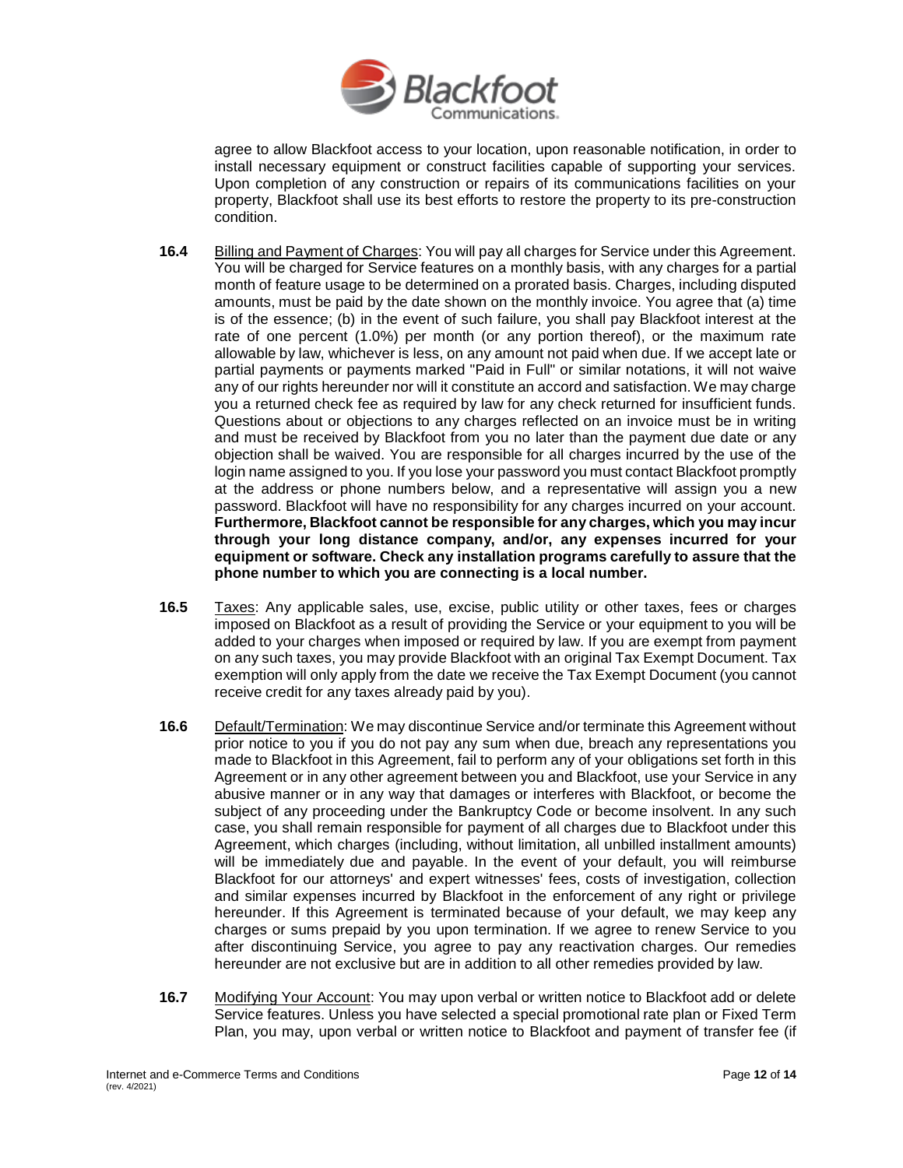

agree to allow Blackfoot access to your location, upon reasonable notification, in order to install necessary equipment or construct facilities capable of supporting your services. Upon completion of any construction or repairs of its communications facilities on your property, Blackfoot shall use its best efforts to restore the property to its pre-construction condition.

- **16.4** Billing and Payment of Charges: You will pay all charges for Service under this Agreement. You will be charged for Service features on a monthly basis, with any charges for a partial month of feature usage to be determined on a prorated basis. Charges, including disputed amounts, must be paid by the date shown on the monthly invoice. You agree that (a) time is of the essence; (b) in the event of such failure, you shall pay Blackfoot interest at the rate of one percent (1.0%) per month (or any portion thereof), or the maximum rate allowable by law, whichever is less, on any amount not paid when due. If we accept late or partial payments or payments marked "Paid in Full" or similar notations, it will not waive any of our rights hereunder nor will it constitute an accord and satisfaction. We may charge you a returned check fee as required by law for any check returned for insufficient funds. Questions about or objections to any charges reflected on an invoice must be in writing and must be received by Blackfoot from you no later than the payment due date or any objection shall be waived. You are responsible for all charges incurred by the use of the login name assigned to you. If you lose your password you must contact Blackfoot promptly at the address or phone numbers below, and a representative will assign you a new password. Blackfoot will have no responsibility for any charges incurred on your account. **Furthermore, Blackfoot cannot be responsible for any charges, which you may incur through your long distance company, and/or, any expenses incurred for your equipment or software. Check any installation programs carefully to assure that the phone number to which you are connecting is a local number.**
- **16.5** Taxes: Any applicable sales, use, excise, public utility or other taxes, fees or charges imposed on Blackfoot as a result of providing the Service or your equipment to you will be added to your charges when imposed or required by law. If you are exempt from payment on any such taxes, you may provide Blackfoot with an original Tax Exempt Document. Tax exemption will only apply from the date we receive the Tax Exempt Document (you cannot receive credit for any taxes already paid by you).
- **16.6** Default/Termination: We may discontinue Service and/or terminate this Agreement without prior notice to you if you do not pay any sum when due, breach any representations you made to Blackfoot in this Agreement, fail to perform any of your obligations set forth in this Agreement or in any other agreement between you and Blackfoot, use your Service in any abusive manner or in any way that damages or interferes with Blackfoot, or become the subject of any proceeding under the Bankruptcy Code or become insolvent. In any such case, you shall remain responsible for payment of all charges due to Blackfoot under this Agreement, which charges (including, without limitation, all unbilled installment amounts) will be immediately due and payable. In the event of your default, you will reimburse Blackfoot for our attorneys' and expert witnesses' fees, costs of investigation, collection and similar expenses incurred by Blackfoot in the enforcement of any right or privilege hereunder. If this Agreement is terminated because of your default, we may keep any charges or sums prepaid by you upon termination. If we agree to renew Service to you after discontinuing Service, you agree to pay any reactivation charges. Our remedies hereunder are not exclusive but are in addition to all other remedies provided by law.
- **16.7** Modifying Your Account: You may upon verbal or written notice to Blackfoot add or delete Service features. Unless you have selected a special promotional rate plan or Fixed Term Plan, you may, upon verbal or written notice to Blackfoot and payment of transfer fee (if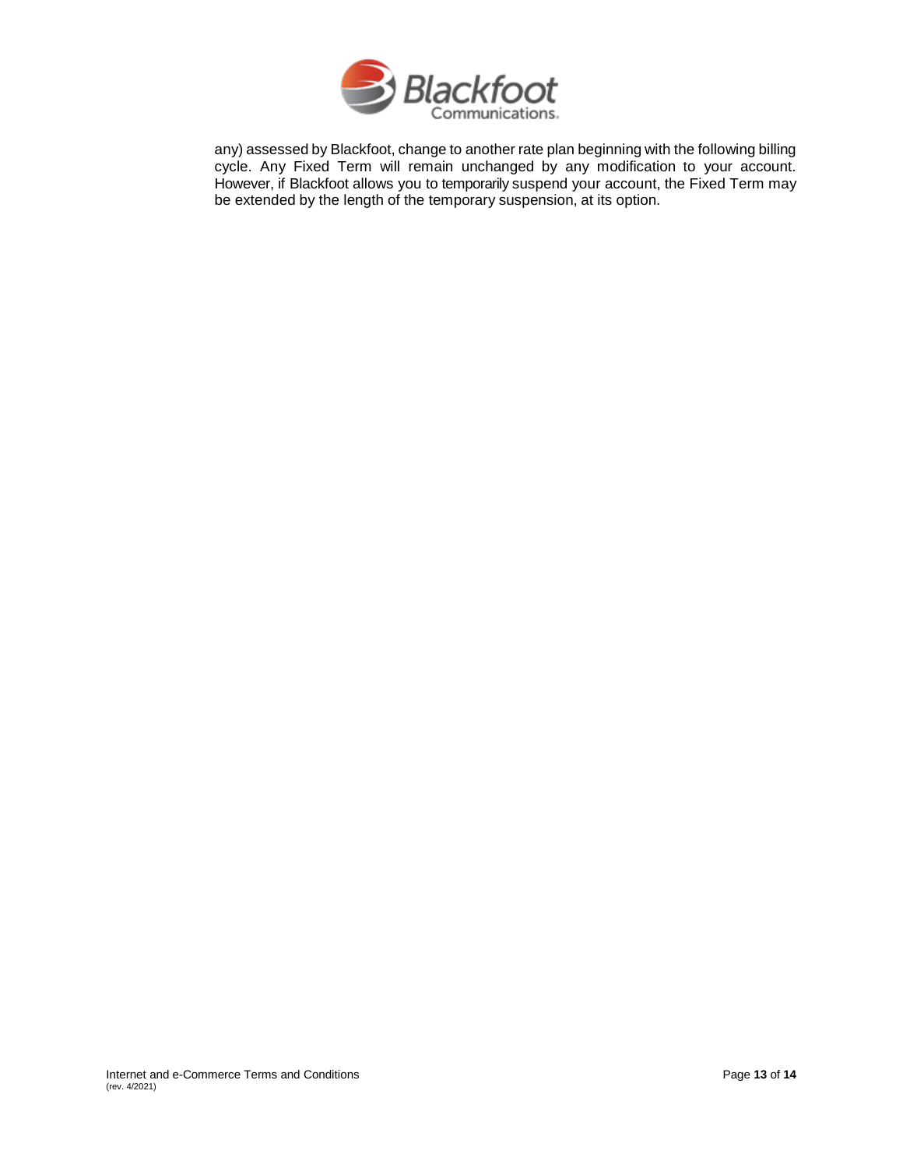

any) assessed by Blackfoot, change to another rate plan beginning with the following billing cycle. Any Fixed Term will remain unchanged by any modification to your account. However, if Blackfoot allows you to temporarily suspend your account, the Fixed Term may be extended by the length of the temporary suspension, at its option.